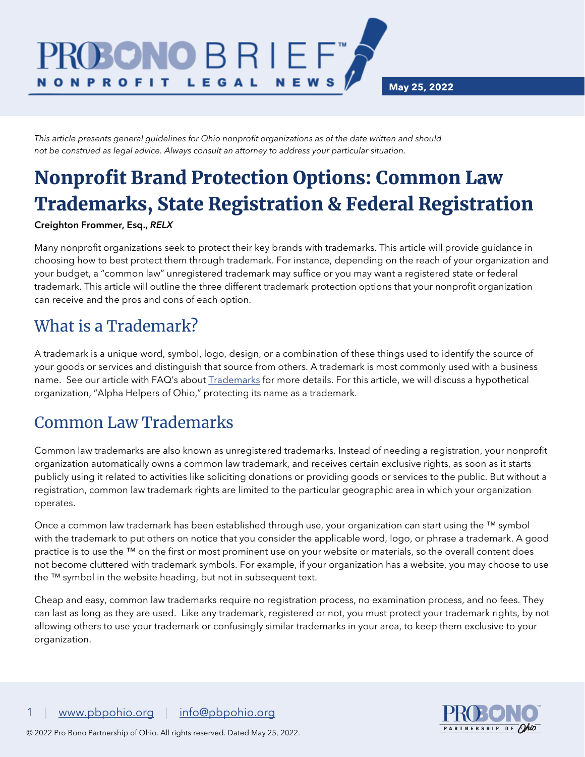*This article presents general guidelines for Ohio nonprofit organizations as of the date written and should not be construed as legal advice. Always consult an attorney to address your particular situation.*

BRI

LEGAL

TNO)

# Nonprofit Brand Protection Options: Common Law Trademarks, State Registration & Federal Registration

**NEWS** 

#### Creighton Frommer, Esq., *RELX*

**NONPROFIT** 

Many nonprofit organizations seek to protect their key brands with trademarks. This article will provide guidance in choosing how to best protect them through trademark. For instance, depending on the reach of your organization and your budget, a "common law" unregistered trademark may suffice or you may want a registered state or federal trademark. This article will outline the three different trademark protection options that your nonprofit organization can receive and the pros and cons of each option.

### What is a Trademark?

A trademark is a unique word, symbol, logo, design, or a combination of these things used to identify the source of your goods or services and distinguish that source from others. A trademark is most commonly used with a business name. See our article with FAQ's about **Trademarks** for more details. For this article, we will discuss a hypothetical organization, "Alpha Helpers of Ohio," protecting its name as a trademark.

### Common Law Trademarks

Common law trademarks are also known as unregistered trademarks. Instead of needing a registration, your nonprofit organization automatically owns a common law trademark, and receives certain exclusive rights, as soon as it starts publicly using it related to activities like soliciting donations or providing goods or services to the public. But without a registration, common law trademark rights are limited to the particular geographic area in which your organization operates.

Once a common law trademark has been established through use, your organization can start using the ™ symbol with the trademark to put others on notice that you consider the applicable word, logo, or phrase a trademark. A good practice is to use the ™ on the first or most prominent use on your website or materials, so the overall content does not become cluttered with trademark symbols. For example, if your organization has a website, you may choose to use the ™ symbol in the website heading, but not in subsequent text.

Cheap and easy, common law trademarks require no registration process, no examination process, and no fees. They can last as long as they are used. Like any trademark, registered or not, you must protect your trademark rights, by not allowing others to use your trademark or confusingly similar trademarks in your area, to keep them exclusive to your organization.

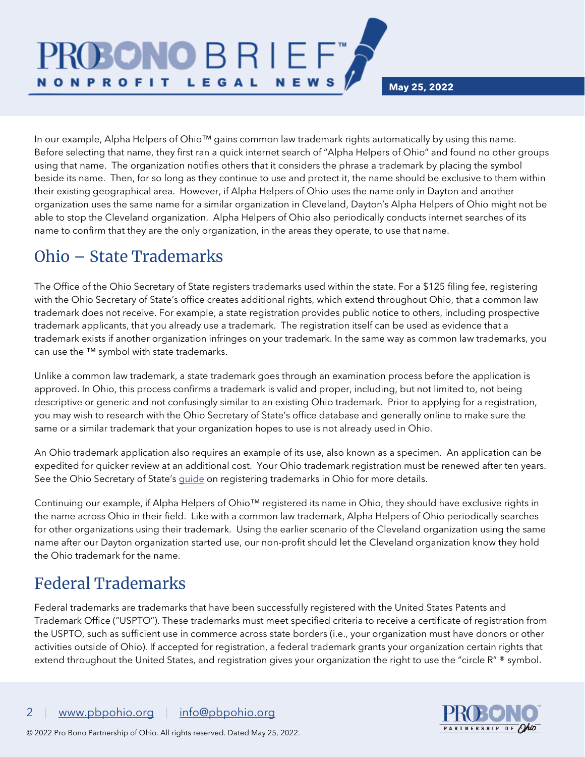In our example, Alpha Helpers of Ohio™ gains common law trademark rights automatically by using this name. Before selecting that name, they first ran a quick internet search of "Alpha Helpers of Ohio" and found no other groups using that name. The organization notifies others that it considers the phrase a trademark by placing the symbol beside its name. Then, for so long as they continue to use and protect it, the name should be exclusive to them within their existing geographical area. However, if Alpha Helpers of Ohio uses the name only in Dayton and another organization uses the same name for a similar organization in Cleveland, Dayton's Alpha Helpers of Ohio might not be able to stop the Cleveland organization. Alpha Helpers of Ohio also periodically conducts internet searches of its name to confirm that they are the only organization, in the areas they operate, to use that name.

**NEWS** 

### Ohio – State Trademarks

**NONPROFIT** 

ROSONO B R I E F

LEGAL

The Office of the Ohio Secretary of State registers trademarks used within the state. For a \$125 filing fee, registering with the Ohio Secretary of State's office creates additional rights, which extend throughout Ohio, that a common law trademark does not receive. For example, a state registration provides public notice to others, including prospective trademark applicants, that you already use a trademark. The registration itself can be used as evidence that a trademark exists if another organization infringes on your trademark. In the same way as common law trademarks, you can use the ™ symbol with state trademarks.

Unlike a common law trademark, a state trademark goes through an examination process before the application is approved. In Ohio, this process confirms a trademark is valid and proper, including, but not limited to, not being descriptive or generic and not confusingly similar to an existing Ohio trademark. Prior to applying for a registration, you may wish to research with the Ohio Secretary of State's office database and generally online to make sure the same or a similar trademark that your organization hopes to use is not already used in Ohio.

An Ohio trademark application also requires an example of its use, also known as a specimen. An application can be expedited for quicker review at an additional cost. Your Ohio trademark registration must be renewed after ten years. See the Ohio Secretary of State's *guide* on registering trademarks in Ohio for more details.

Continuing our example, if Alpha Helpers of Ohio™ registered its name in Ohio, they should have exclusive rights in the name across Ohio in their field. Like with a common law trademark, Alpha Helpers of Ohio periodically searches for other organizations using their trademark. Using the earlier scenario of the Cleveland organization using the same name after our Dayton organization started use, our non-profit should let the Cleveland organization know they hold the Ohio trademark for the name.

# Federal Trademarks

Federal trademarks are trademarks that have been successfully registered with the United States Patents and Trademark Office ("USPTO"). These trademarks must meet specified criteria to receive a certificate of registration from the USPTO, such as sufficient use in commerce across state borders (i.e., your organization must have donors or other activities outside of Ohio). If accepted for registration, a federal trademark grants your organization certain rights that extend throughout the United States, and registration gives your organization the right to use the "circle R" ® symbol.

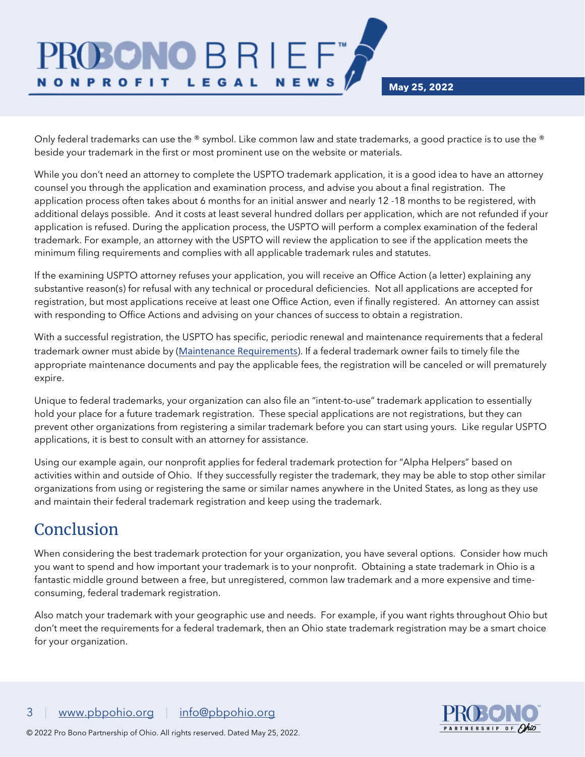Only federal trademarks can use the ® symbol. Like common law and state trademarks, a good practice is to use the ® beside your trademark in the first or most prominent use on the website or materials.

**NEWS** 

**BRIEF** 

LEGAL

While you don't need an attorney to complete the USPTO trademark application, it is a good idea to have an attorney counsel you through the application and examination process, and advise you about a final registration. The application process often takes about 6 months for an initial answer and nearly 12 -18 months to be registered, with additional delays possible. And it costs at least several hundred dollars per application, which are not refunded if your application is refused. During the application process, the USPTO will perform a complex examination of the federal trademark. For example, an attorney with the USPTO will review the application to see if the application meets the minimum filing requirements and complies with all applicable trademark rules and statutes.

If the examining USPTO attorney refuses your application, you will receive an Office Action (a letter) explaining any substantive reason(s) for refusal with any technical or procedural deficiencies. Not all applications are accepted for registration, but most applications receive at least one Office Action, even if finally registered. An attorney can assist with responding to Office Actions and advising on your chances of success to obtain a registration.

With a successful registration, the USPTO has specific, periodic renewal and maintenance requirements that a federal trademark owner must abide by ([Maintenance Requirements](https://www.uspto.gov/trademarks/maintain/keeping-your-registration-alive#Required-filings)). If a federal trademark owner fails to timely file the appropriate maintenance documents and pay the applicable fees, the registration will be canceled or will prematurely expire.

Unique to federal trademarks, your organization can also file an "intent-to-use" trademark application to essentially hold your place for a future trademark registration. These special applications are not registrations, but they can prevent other organizations from registering a similar trademark before you can start using yours. Like regular USPTO applications, it is best to consult with an attorney for assistance.

Using our example again, our nonprofit applies for federal trademark protection for "Alpha Helpers" based on activities within and outside of Ohio. If they successfully register the trademark, they may be able to stop other similar organizations from using or registering the same or similar names anywhere in the United States, as long as they use and maintain their federal trademark registration and keep using the trademark.

## Conclusion

**NONPROFIT** 

When considering the best trademark protection for your organization, you have several options. Consider how much you want to spend and how important your trademark is to your nonprofit. Obtaining a state trademark in Ohio is a fantastic middle ground between a free, but unregistered, common law trademark and a more expensive and timeconsuming, federal trademark registration.

Also match your trademark with your geographic use and needs. For example, if you want rights throughout Ohio but don't meet the requirements for a federal trademark, then an Ohio state trademark registration may be a smart choice for your organization.